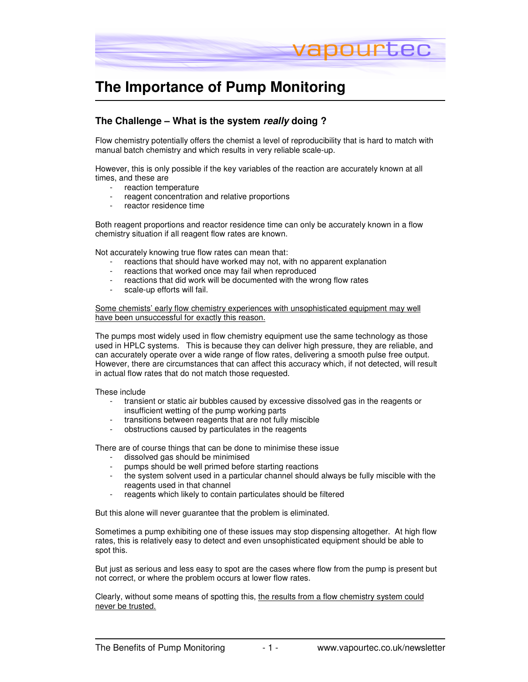

## **The Importance of Pump Monitoring**

## **The Challenge – What is the system really doing ?**

Flow chemistry potentially offers the chemist a level of reproducibility that is hard to match with manual batch chemistry and which results in very reliable scale-up.

However, this is only possible if the key variables of the reaction are accurately known at all times, and these are

- reaction temperature
- reagent concentration and relative proportions
- reactor residence time

Both reagent proportions and reactor residence time can only be accurately known in a flow chemistry situation if all reagent flow rates are known.

Not accurately knowing true flow rates can mean that:

- reactions that should have worked may not, with no apparent explanation
- reactions that worked once may fail when reproduced
- reactions that did work will be documented with the wrong flow rates
- scale-up efforts will fail.

Some chemists' early flow chemistry experiences with unsophisticated equipment may well have been unsuccessful for exactly this reason.

The pumps most widely used in flow chemistry equipment use the same technology as those used in HPLC systems. This is because they can deliver high pressure, they are reliable, and can accurately operate over a wide range of flow rates, delivering a smooth pulse free output. However, there are circumstances that can affect this accuracy which, if not detected, will result in actual flow rates that do not match those requested.

These include

- transient or static air bubbles caused by excessive dissolved gas in the reagents or insufficient wetting of the pump working parts
- transitions between reagents that are not fully miscible
- obstructions caused by particulates in the reagents

There are of course things that can be done to minimise these issue

- dissolved gas should be minimised
- pumps should be well primed before starting reactions
- the system solvent used in a particular channel should always be fully miscible with the reagents used in that channel
- reagents which likely to contain particulates should be filtered

But this alone will never guarantee that the problem is eliminated.

Sometimes a pump exhibiting one of these issues may stop dispensing altogether. At high flow rates, this is relatively easy to detect and even unsophisticated equipment should be able to spot this.

But just as serious and less easy to spot are the cases where flow from the pump is present but not correct, or where the problem occurs at lower flow rates.

Clearly, without some means of spotting this, the results from a flow chemistry system could never be trusted.